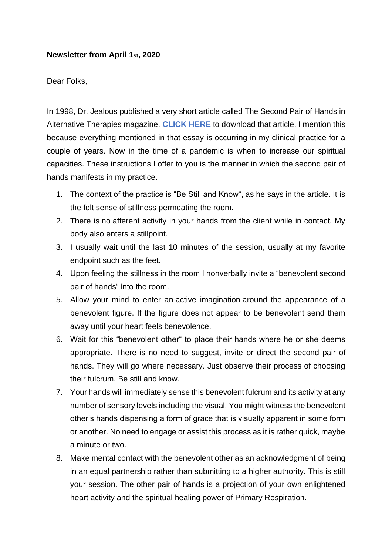## **Newsletter from April 1st, 2020**

## Dear Folks,

In 1998, Dr. Jealous published a very short article called The Second Pair of Hands in Alternative Therapies magazine. **[CLICK HERE](https://mcusercontent.com/a830e20712ae7500eb4cf7a8f/files/88290dcb-b9fc-48b9-8466-316cb850d4c0/The_other_pair_of_hands_article.pdf)** to download that article. I mention this because everything mentioned in that essay is occurring in my clinical practice for a couple of years. Now in the time of a pandemic is when to increase our spiritual capacities. These instructions I offer to you is the manner in which the second pair of hands manifests in my practice.

- 1. The context of the practice is "Be Still and Know", as he says in the article. It is the felt sense of stillness permeating the room.
- 2. There is no afferent activity in your hands from the client while in contact. My body also enters a stillpoint.
- 3. I usually wait until the last 10 minutes of the session, usually at my favorite endpoint such as the feet.
- 4. Upon feeling the stillness in the room I nonverbally invite a "benevolent second pair of hands" into the room.
- 5. Allow your mind to enter an active imagination around the appearance of a benevolent figure. If the figure does not appear to be benevolent send them away until your heart feels benevolence.
- 6. Wait for this "benevolent other" to place their hands where he or she deems appropriate. There is no need to suggest, invite or direct the second pair of hands. They will go where necessary. Just observe their process of choosing their fulcrum. Be still and know.
- 7. Your hands will immediately sense this benevolent fulcrum and its activity at any number of sensory levels including the visual. You might witness the benevolent other's hands dispensing a form of grace that is visually apparent in some form or another. No need to engage or assist this process as it is rather quick, maybe a minute or two.
- 8. Make mental contact with the benevolent other as an acknowledgment of being in an equal partnership rather than submitting to a higher authority. This is still your session. The other pair of hands is a projection of your own enlightened heart activity and the spiritual healing power of Primary Respiration.